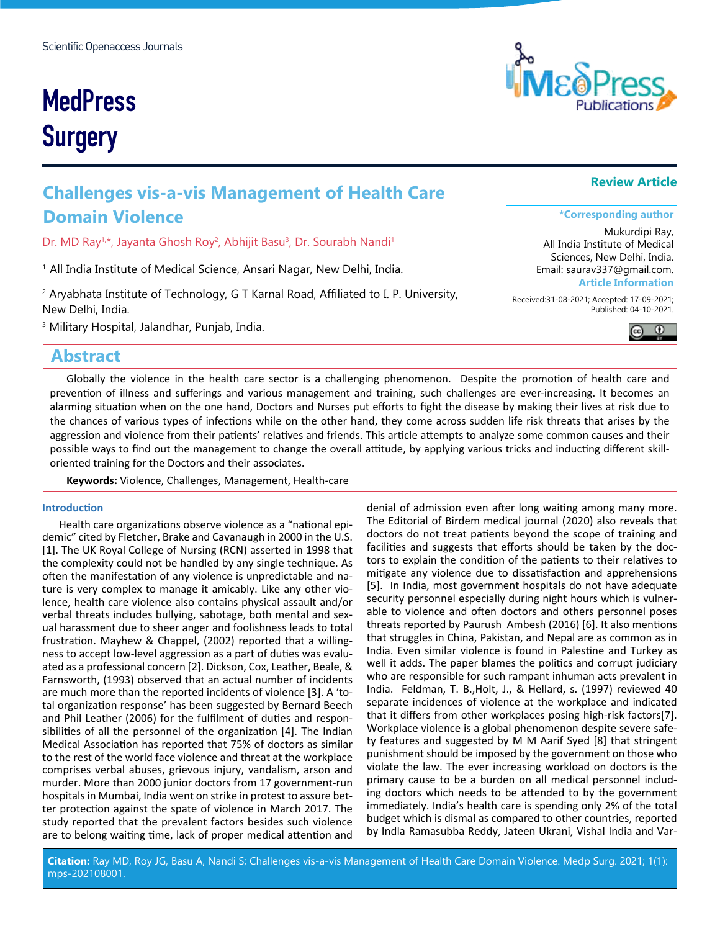# **MedPress Surgery**

# **Challenges vis-a-vis Management of Health Care Domain Violence**

Dr. MD Ray $1, \star$ , Jayanta Ghosh Roy $^2$ , Abhijit Basu $^3$ , Dr. Sourabh Nandi $^1$ 

<sup>1</sup> All India Institute of Medical Science, Ansari Nagar, New Delhi, India.

 $^2$  Aryabhata Institute of Technology, G T Karnal Road, Affiliated to I. P. University, New Delhi, India.

3 Military Hospital, Jalandhar, Punjab, India.

## **Abstract**

Globally the violence in the health care sector is a challenging phenomenon. Despite the promotion of health care and prevention of illness and sufferings and various management and training, such challenges are ever-increasing. It becomes an alarming situation when on the one hand, Doctors and Nurses put efforts to fight the disease by making their lives at risk due to the chances of various types of infections while on the other hand, they come across sudden life risk threats that arises by the aggression and violence from their patients' relatives and friends. This article attempts to analyze some common causes and their possible ways to find out the management to change the overall attitude, by applying various tricks and inducting different skilloriented training for the Doctors and their associates.

**Keywords:** Violence, Challenges, Management, Health-care

#### **Introduction**

Health care organizations observe violence as a "national epidemic" cited by Fletcher, Brake and Cavanaugh in 2000 in the U.S. [1]. The UK Royal College of Nursing (RCN) asserted in 1998 that the complexity could not be handled by any single technique. As often the manifestation of any violence is unpredictable and nature is very complex to manage it amicably. Like any other violence, health care violence also contains physical assault and/or verbal threats includes bullying, sabotage, both mental and sexual harassment due to sheer anger and foolishness leads to total frustration. Mayhew & Chappel, (2002) reported that a willingness to accept low-level aggression as a part of duties was evaluated as a professional concern [2]. Dickson, Cox, Leather, Beale, & Farnsworth, (1993) observed that an actual number of incidents are much more than the reported incidents of violence [3]. A 'total organization response' has been suggested by Bernard Beech and Phil Leather (2006) for the fulfilment of duties and responsibilities of all the personnel of the organization [4]. The Indian Medical Association has reported that 75% of doctors as similar to the rest of the world face violence and threat at the workplace comprises verbal abuses, grievous injury, vandalism, arson and murder. More than 2000 junior doctors from 17 government-run hospitals in Mumbai, India went on strike in protest to assure better protection against the spate of violence in March 2017. The study reported that the prevalent factors besides such violence are to belong waiting time, lack of proper medical attention and

denial of admission even after long waiting among many more. The Editorial of Birdem medical journal (2020) also reveals that doctors do not treat patients beyond the scope of training and facilities and suggests that efforts should be taken by the doctors to explain the condition of the patients to their relatives to mitigate any violence due to dissatisfaction and apprehensions [5]. In India, most government hospitals do not have adequate security personnel especially during night hours which is vulnerable to violence and often doctors and others personnel poses threats reported by Paurush Ambesh (2016) [6]. It also mentions that struggles in China, Pakistan, and Nepal are as common as in India. Even similar violence is found in Palestine and Turkey as well it adds. The paper blames the politics and corrupt judiciary who are responsible for such rampant inhuman acts prevalent in India. Feldman, T. B.,Holt, J., & Hellard, s. (1997) reviewed 40 separate incidences of violence at the workplace and indicated that it differs from other workplaces posing high-risk factors[7]. Workplace violence is a global phenomenon despite severe safety features and suggested by M M Aarif Syed [8] that stringent punishment should be imposed by the government on those who violate the law. The ever increasing workload on doctors is the primary cause to be a burden on all medical personnel including doctors which needs to be attended to by the government immediately. India's health care is spending only 2% of the total budget which is dismal as compared to other countries, reported by Indla Ramasubba Reddy, Jateen Ukrani, Vishal India and Var-



# **\*Corresponding author**

**Review Article**

Mukurdipi Ray, All India Institute of Medical Sciences, New Delhi, India. Email: saurav337@gmail.com. **Article Information**

 Received:31-08-2021; Accepted: 17-09-2021; Published: 04-10-2021.

 $\circledcirc$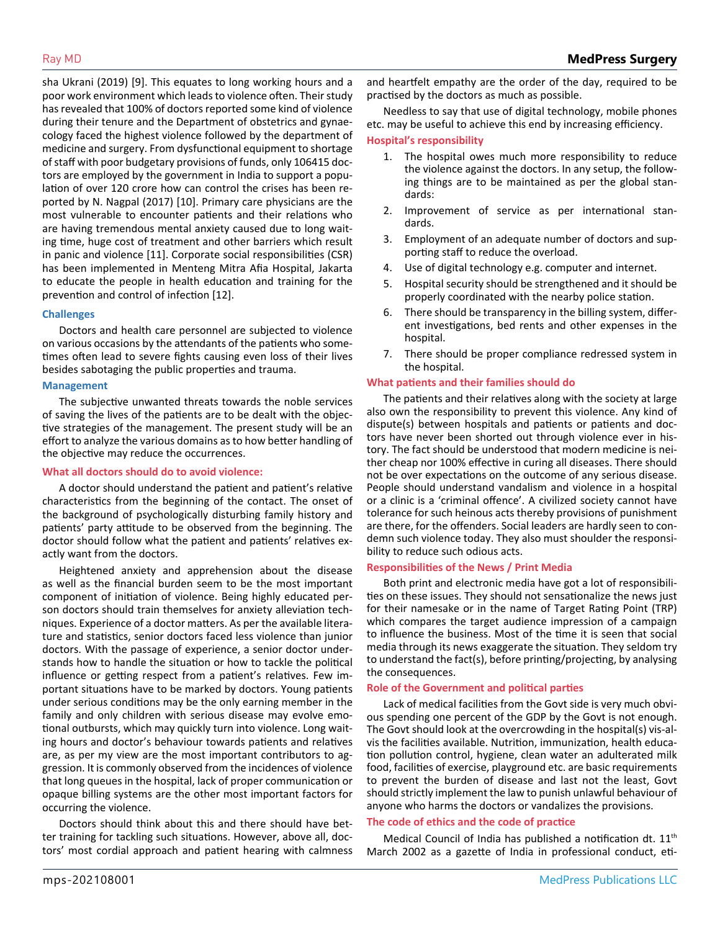sha Ukrani (2019) [9]. This equates to long working hours and a poor work environment which leads to violence often. Their study has revealed that 100% of doctors reported some kind of violence during their tenure and the Department of obstetrics and gynaecology faced the highest violence followed by the department of medicine and surgery. From dysfunctional equipment to shortage of staff with poor budgetary provisions of funds, only 106415 doctors are employed by the government in India to support a population of over 120 crore how can control the crises has been reported by N. Nagpal (2017) [10]. Primary care physicians are the most vulnerable to encounter patients and their relations who are having tremendous mental anxiety caused due to long waiting time, huge cost of treatment and other barriers which result in panic and violence [11]. Corporate social responsibilities (CSR) has been implemented in Menteng Mitra Afia Hospital, Jakarta to educate the people in health education and training for the prevention and control of infection [12].

#### **Challenges**

Doctors and health care personnel are subjected to violence on various occasions by the attendants of the patients who sometimes often lead to severe fights causing even loss of their lives besides sabotaging the public properties and trauma.

#### **Management**

The subjective unwanted threats towards the noble services of saving the lives of the patients are to be dealt with the objective strategies of the management. The present study will be an effort to analyze the various domains as to how better handling of the objective may reduce the occurrences.

#### **What all doctors should do to avoid violence:**

A doctor should understand the patient and patient's relative characteristics from the beginning of the contact. The onset of the background of psychologically disturbing family history and patients' party attitude to be observed from the beginning. The doctor should follow what the patient and patients' relatives exactly want from the doctors.

Heightened anxiety and apprehension about the disease as well as the financial burden seem to be the most important component of initiation of violence. Being highly educated person doctors should train themselves for anxiety alleviation techniques. Experience of a doctor matters. As per the available literature and statistics, senior doctors faced less violence than junior doctors. With the passage of experience, a senior doctor understands how to handle the situation or how to tackle the political influence or getting respect from a patient's relatives. Few important situations have to be marked by doctors. Young patients under serious conditions may be the only earning member in the family and only children with serious disease may evolve emotional outbursts, which may quickly turn into violence. Long waiting hours and doctor's behaviour towards patients and relatives are, as per my view are the most important contributors to aggression. It is commonly observed from the incidences of violence that long queues in the hospital, lack of proper communication or opaque billing systems are the other most important factors for occurring the violence.

Doctors should think about this and there should have better training for tackling such situations. However, above all, doctors' most cordial approach and patient hearing with calmness and heartfelt empathy are the order of the day, required to be practised by the doctors as much as possible.

Needless to say that use of digital technology, mobile phones etc. may be useful to achieve this end by increasing efficiency.

#### **Hospital's responsibility**

- 1. The hospital owes much more responsibility to reduce the violence against the doctors. In any setup, the following things are to be maintained as per the global standards:
- 2. Improvement of service as per international standards.
- 3. Employment of an adequate number of doctors and supporting staff to reduce the overload.
- 4. Use of digital technology e.g. computer and internet.
- 5. Hospital security should be strengthened and it should be properly coordinated with the nearby police station.
- 6. There should be transparency in the billing system, different investigations, bed rents and other expenses in the hospital.
- 7. There should be proper compliance redressed system in the hospital.

### **What patients and their families should do**

The patients and their relatives along with the society at large also own the responsibility to prevent this violence. Any kind of dispute(s) between hospitals and patients or patients and doctors have never been shorted out through violence ever in history. The fact should be understood that modern medicine is neither cheap nor 100% effective in curing all diseases. There should not be over expectations on the outcome of any serious disease. People should understand vandalism and violence in a hospital or a clinic is a 'criminal offence'. A civilized society cannot have tolerance for such heinous acts thereby provisions of punishment are there, for the offenders. Social leaders are hardly seen to condemn such violence today. They also must shoulder the responsibility to reduce such odious acts.

#### **Responsibilities of the News / Print Media**

Both print and electronic media have got a lot of responsibilities on these issues. They should not sensationalize the news just for their namesake or in the name of Target Rating Point (TRP) which compares the target audience impression of a campaign to influence the business. Most of the time it is seen that social media through its news exaggerate the situation. They seldom try to understand the fact(s), before printing/projecting, by analysing the consequences.

#### **Role of the Government and political parties**

Lack of medical facilities from the Govt side is very much obvious spending one percent of the GDP by the Govt is not enough. The Govt should look at the overcrowding in the hospital(s) vis-alvis the facilities available. Nutrition, immunization, health education pollution control, hygiene, clean water an adulterated milk food, facilities of exercise, playground etc. are basic requirements to prevent the burden of disease and last not the least, Govt should strictly implement the law to punish unlawful behaviour of anyone who harms the doctors or vandalizes the provisions.

#### **The code of ethics and the code of practice**

Medical Council of India has published a notification dt. 11<sup>th</sup> March 2002 as a gazette of India in professional conduct, eti